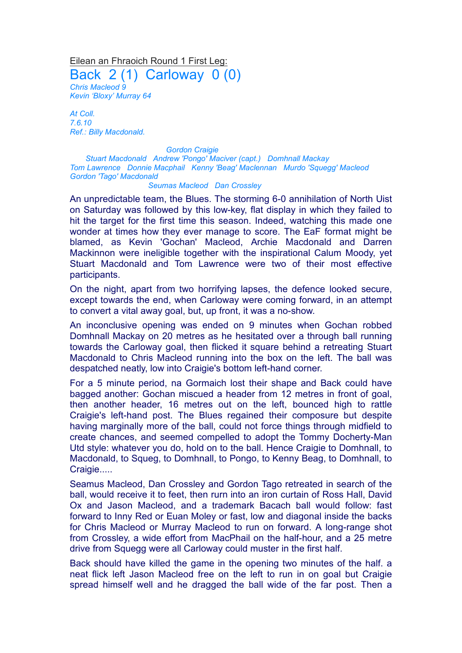Eilean an Fhraoich Round 1 First Leg:

Back 2 (1) Carloway 0 (0)

*Chris Macleod 9 Kevin 'Bloxy' Murray 64*

*At Coll. 7.6.10 Ref.: Billy Macdonald.*

*Gordon Craigie Stuart Macdonald Andrew 'Pongo' Maciver (capt.) Domhnall Mackay Tom Lawrence Donnie Macphail Kenny 'Beag' Maclennan Murdo 'Squegg' Macleod Gordon 'Tago' Macdonald*

## *Seumas Macleod Dan Crossley*

An unpredictable team, the Blues. The storming 6-0 annihilation of North Uist on Saturday was followed by this low-key, flat display in which they failed to hit the target for the first time this season. Indeed, watching this made one wonder at times how they ever manage to score. The EaF format might be blamed, as Kevin 'Gochan' Macleod, Archie Macdonald and Darren Mackinnon were ineligible together with the inspirational Calum Moody, yet Stuart Macdonald and Tom Lawrence were two of their most effective participants.

On the night, apart from two horrifying lapses, the defence looked secure, except towards the end, when Carloway were coming forward, in an attempt to convert a vital away goal, but, up front, it was a no-show.

An inconclusive opening was ended on 9 minutes when Gochan robbed Domhnall Mackay on 20 metres as he hesitated over a through ball running towards the Carloway goal, then flicked it square behind a retreating Stuart Macdonald to Chris Macleod running into the box on the left. The ball was despatched neatly, low into Craigie's bottom left-hand corner.

For a 5 minute period, na Gormaich lost their shape and Back could have bagged another: Gochan miscued a header from 12 metres in front of goal, then another header, 16 metres out on the left, bounced high to rattle Craigie's left-hand post. The Blues regained their composure but despite having marginally more of the ball, could not force things through midfield to create chances, and seemed compelled to adopt the Tommy Docherty-Man Utd style: whatever you do, hold on to the ball. Hence Craigie to Domhnall, to Macdonald, to Squeg, to Domhnall, to Pongo, to Kenny Beag, to Domhnall, to Craigie.....

Seamus Macleod, Dan Crossley and Gordon Tago retreated in search of the ball, would receive it to feet, then rurn into an iron curtain of Ross Hall, David Ox and Jason Macleod, and a trademark Bacach ball would follow: fast forward to Inny Red or Euan Moley or fast, low and diagonal inside the backs for Chris Macleod or Murray Macleod to run on forward. A long-range shot from Crossley, a wide effort from MacPhail on the half-hour, and a 25 metre drive from Squegg were all Carloway could muster in the first half.

Back should have killed the game in the opening two minutes of the half. a neat flick left Jason Macleod free on the left to run in on goal but Craigie spread himself well and he dragged the ball wide of the far post. Then a